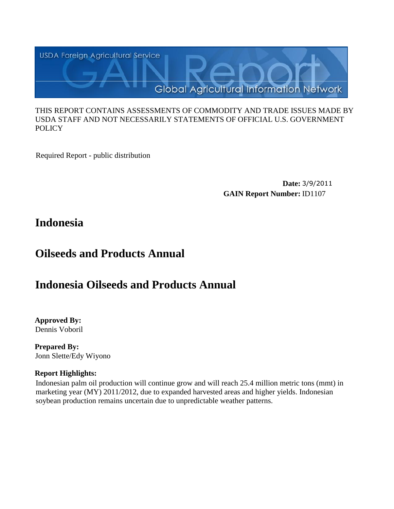

#### THIS REPORT CONTAINS ASSESSMENTS OF COMMODITY AND TRADE ISSUES MADE BY USDA STAFF AND NOT NECESSARILY STATEMENTS OF OFFICIAL U.S. GOVERNMENT **POLICY**

Required Report - public distribution

**Date:** 3/9/2011 **GAIN Report Number:** ID1107

# **Indonesia**

# **Oilseeds and Products Annual**

# **Indonesia Oilseeds and Products Annual**

**Approved By:**  Dennis Voboril

**Prepared By:**  Jonn Slette/Edy Wiyono

# **Report Highlights:**

Indonesian palm oil production will continue grow and will reach 25.4 million metric tons (mmt) in marketing year (MY) 2011/2012, due to expanded harvested areas and higher yields. Indonesian soybean production remains uncertain due to unpredictable weather patterns.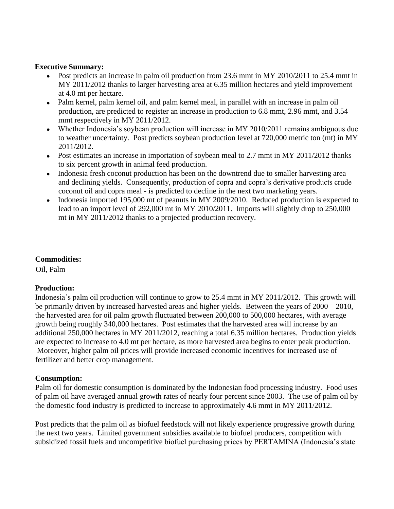#### **Executive Summary:**

- Post predicts an increase in palm oil production from 23.6 mmt in MY 2010/2011 to 25.4 mmt in MY 2011/2012 thanks to larger harvesting area at 6.35 million hectares and yield improvement at 4.0 mt per hectare.
- Palm kernel, palm kernel oil, and palm kernel meal, in parallel with an increase in palm oil production, are predicted to register an increase in production to 6.8 mmt, 2.96 mmt, and 3.54 mmt respectively in MY 2011/2012.
- Whether Indonesia's soybean production will increase in MY 2010/2011 remains ambiguous due to weather uncertainty. Post predicts soybean production level at 720,000 metric ton (mt) in MY 2011/2012.
- Post estimates an increase in importation of soybean meal to 2.7 mmt in MY 2011/2012 thanks to six percent growth in animal feed production.
- Indonesia fresh coconut production has been on the downtrend due to smaller harvesting area  $\bullet$ and declining yields. Consequently, production of copra and copra's derivative products crude coconut oil and copra meal - is predicted to decline in the next two marketing years.
- Indonesia imported 195,000 mt of peanuts in MY 2009/2010. Reduced production is expected to lead to an import level of 292,000 mt in MY 2010/2011. Imports will slightly drop to 250,000 mt in MY 2011/2012 thanks to a projected production recovery.

# **Commodities:**

Oil, Palm

# **Production:**

Indonesia's palm oil production will continue to grow to 25.4 mmt in MY 2011/2012. This growth will be primarily driven by increased harvested areas and higher yields. Between the years of 2000 – 2010, the harvested area for oil palm growth fluctuated between 200,000 to 500,000 hectares, with average growth being roughly 340,000 hectares. Post estimates that the harvested area will increase by an additional 250,000 hectares in MY 2011/2012, reaching a total 6.35 million hectares. Production yields are expected to increase to 4.0 mt per hectare, as more harvested area begins to enter peak production. Moreover, higher palm oil prices will provide increased economic incentives for increased use of fertilizer and better crop management.

# **Consumption:**

Palm oil for domestic consumption is dominated by the Indonesian food processing industry. Food uses of palm oil have averaged annual growth rates of nearly four percent since 2003. The use of palm oil by the domestic food industry is predicted to increase to approximately 4.6 mmt in MY 2011/2012.

Post predicts that the palm oil as biofuel feedstock will not likely experience progressive growth during the next two years. Limited government subsidies available to biofuel producers, competition with subsidized fossil fuels and uncompetitive biofuel purchasing prices by PERTAMINA (Indonesia's state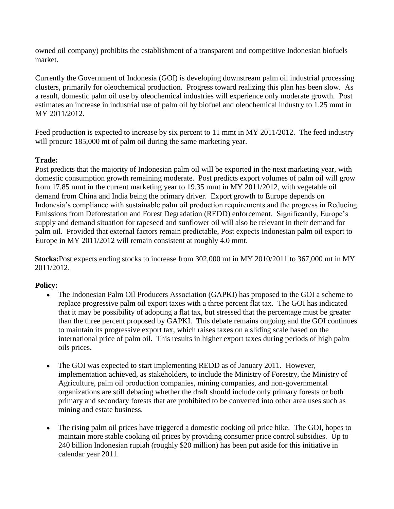owned oil company) prohibits the establishment of a transparent and competitive Indonesian biofuels market.

Currently the Government of Indonesia (GOI) is developing downstream palm oil industrial processing clusters, primarily for oleochemical production. Progress toward realizing this plan has been slow. As a result, domestic palm oil use by oleochemical industries will experience only moderate growth. Post estimates an increase in industrial use of palm oil by biofuel and oleochemical industry to 1.25 mmt in MY 2011/2012.

Feed production is expected to increase by six percent to 11 mmt in MY 2011/2012. The feed industry will procure 185,000 mt of palm oil during the same marketing year.

# **Trade:**

Post predicts that the majority of Indonesian palm oil will be exported in the next marketing year, with domestic consumption growth remaining moderate. Post predicts export volumes of palm oil will grow from 17.85 mmt in the current marketing year to 19.35 mmt in MY 2011/2012, with vegetable oil demand from China and India being the primary driver. Export growth to Europe depends on Indonesia's compliance with sustainable palm oil production requirements and the progress in Reducing Emissions from Deforestation and Forest Degradation (REDD) enforcement. Significantly, Europe's supply and demand situation for rapeseed and sunflower oil will also be relevant in their demand for palm oil. Provided that external factors remain predictable, Post expects Indonesian palm oil export to Europe in MY 2011/2012 will remain consistent at roughly 4.0 mmt.

**Stocks:**Post expects ending stocks to increase from 302,000 mt in MY 2010/2011 to 367,000 mt in MY 2011/2012.

# **Policy:**

- The Indonesian Palm Oil Producers Association (GAPKI) has proposed to the GOI a scheme to  $\bullet$ replace progressive palm oil export taxes with a three percent flat tax. The GOI has indicated that it may be possibility of adopting a flat tax, but stressed that the percentage must be greater than the three percent proposed by GAPKI. This debate remains ongoing and the GOI continues to maintain its progressive export tax, which raises taxes on a sliding scale based on the international price of palm oil. This results in higher export taxes during periods of high palm oils prices.
- The GOI was expected to start implementing REDD as of January 2011. However, implementation achieved, as stakeholders, to include the Ministry of Forestry, the Ministry of Agriculture, palm oil production companies, mining companies, and non-governmental organizations are still debating whether the draft should include only primary forests or both primary and secondary forests that are prohibited to be converted into other area uses such as mining and estate business.
- The rising palm oil prices have triggered a domestic cooking oil price hike. The GOI, hopes to maintain more stable cooking oil prices by providing consumer price control subsidies. Up to 240 billion Indonesian rupiah (roughly \$20 million) has been put aside for this initiative in calendar year 2011.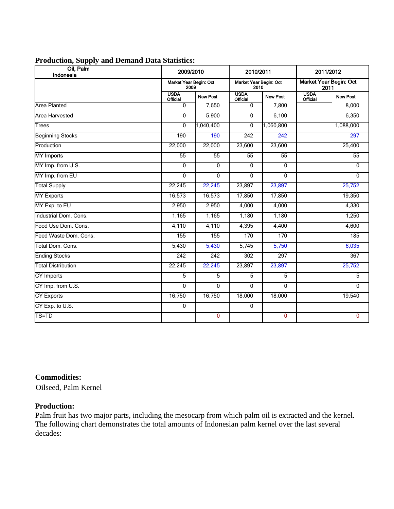| ---                    |                                |                                |                                |                                |                                |                 |
|------------------------|--------------------------------|--------------------------------|--------------------------------|--------------------------------|--------------------------------|-----------------|
| Oil, Palm<br>Indonesia | 2009/2010                      |                                | 2010/2011                      |                                |                                | 2011/2012       |
|                        |                                | Market Year Begin: Oct<br>2009 |                                | Market Year Begin: Oct<br>2010 | Market Year Begin: Oc<br>2011  |                 |
|                        | <b>USDA</b><br><b>Official</b> | New Post                       | <b>USDA</b><br><b>Official</b> | <b>New Post</b>                | <b>USDA</b><br><b>Official</b> | <b>New Post</b> |
| Area Planted           |                                | 7.650                          |                                | 7.800                          |                                | 8,00            |
| Area Harvested         |                                | 5.900                          |                                | 6.100                          |                                | 6.35            |

# Area Planted | 0 | 7,650 | 0 | 7,800 | 8,000 Area Harvested | 0 | 5,900 | 0 | 6,100 | 6,350 Trees 0 1,040,400 0 1,060,800 1,088,000 Beginning Stocks 297 190 190 242 242 242 297 Production 22,000 22,000 23,600 23,600 25,400 MY Imports 55 55 55 55 55 MY Imp. from U.S. 0 0 0 0 0 MY Imp. from EU 0 0 0 0 0 Total Supply 22,245 22,245 23,897 23,897 25,752 MY Exports | 16,573 | 16,573 | 17,850 | 17,850 | 19,350 MY Exp. to EU 2,950 | 2,950 | 2,950 | 4,000 | 4,000 | 4,330 Industrial Dom. Cons. 1,165 1,165 1,180 1,180 1,250 Food Use Dom. Cons. 4,110 4,110 4,395 4,400 4,600 Feed Waste Dom. Cons. 155 155 170 170 185 Total Dom. Cons. 6,035 5,430 5,430 5,745 5,750 5,750 5,750 5,750 5,035 Ending Stocks 267 222 242 242 242 2302 297 367 Total Distribution 22,245 22,245 23,897 23,897 25,752 CY Imports 5 5 5 5 5 CY Imp. from U.S. 0 0 0 0 0 CY Exports 16,750 18,000 18,000 19,540 CY Exp. to U.S. 0 0 TS=TD 0 0 0

# **Commodities:**

Oilseed, Palm Kernel

# **Production:**

Palm fruit has two major parts, including the mesocarp from which palm oil is extracted and the kernel. The following chart demonstrates the total amounts of Indonesian palm kernel over the last several decades: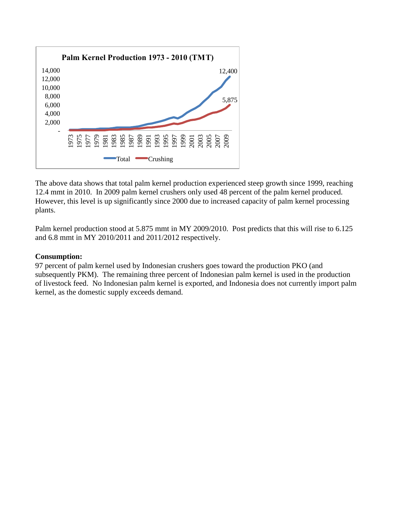

The above data shows that total palm kernel production experienced steep growth since 1999, reaching 12.4 mmt in 2010. In 2009 palm kernel crushers only used 48 percent of the palm kernel produced. However, this level is up significantly since 2000 due to increased capacity of palm kernel processing plants.

Palm kernel production stood at 5.875 mmt in MY 2009/2010. Post predicts that this will rise to 6.125 and 6.8 mmt in MY 2010/2011 and 2011/2012 respectively.

## **Consumption:**

97 percent of palm kernel used by Indonesian crushers goes toward the production PKO (and subsequently PKM). The remaining three percent of Indonesian palm kernel is used in the production of livestock feed. No Indonesian palm kernel is exported, and Indonesia does not currently import palm kernel, as the domestic supply exceeds demand.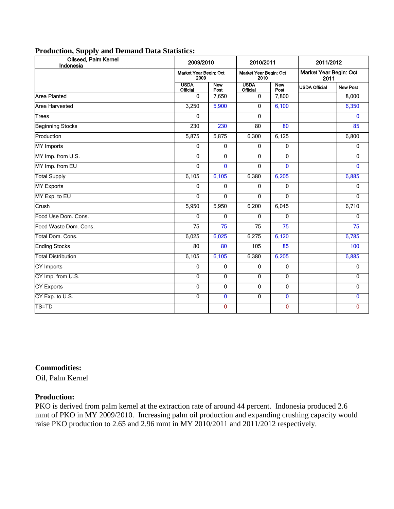| Oilseed, Palm Kernel<br>Indonesia | 2009/2010                                                        |                    | 2010/2011                             |                    | 2011/2012            |                 |
|-----------------------------------|------------------------------------------------------------------|--------------------|---------------------------------------|--------------------|----------------------|-----------------|
|                                   | Market Year Begin: Oct<br>Market Year Begin: Oct<br>2009<br>2010 |                    | <b>Market Year Begin: Oct</b><br>2011 |                    |                      |                 |
|                                   | <b>USDA</b><br>Official                                          | <b>New</b><br>Post | <b>USDA</b><br>Official               | <b>New</b><br>Post | <b>USDA Official</b> | <b>New Post</b> |
| <b>Area Planted</b>               | $\mathbf{0}$                                                     | 7,650              | 0                                     | 7,800              |                      | 8,000           |
| Area Harvested                    | 3,250                                                            | 5,900              | 0                                     | 6,100              |                      | 6,350           |
| Trees                             | $\Omega$                                                         |                    | $\Omega$                              |                    |                      | $\Omega$        |
| <b>Beginning Stocks</b>           | 230                                                              | 230                | 80                                    | 80                 |                      | 85              |
| Production                        | 5,875                                                            | 5,875              | 6,300                                 | 6,125              |                      | 6,800           |
| <b>MY</b> Imports                 | $\mathbf{0}$                                                     | $\mathbf{0}$       | $\Omega$                              | $\mathbf{0}$       |                      | $\mathbf 0$     |
| MY Imp. from U.S.                 | $\mathbf{0}$                                                     | $\mathbf{0}$       | 0                                     | $\mathbf{0}$       |                      | 0               |
| MY Imp. from EU                   | $\mathbf{0}$                                                     | $\mathbf{0}$       | 0                                     | $\mathbf{0}$       |                      | $\mathbf{0}$    |
| <b>Total Supply</b>               | 6,105                                                            | 6,105              | 6,380                                 | 6,205              |                      | 6,885           |
| <b>MY Exports</b>                 | $\mathbf{0}$                                                     | $\mathbf{0}$       | $\mathbf{0}$                          | $\mathbf{0}$       |                      | $\mathbf{0}$    |
| MY Exp. to EU                     | $\Omega$                                                         | $\Omega$           | $\Omega$                              | $\Omega$           |                      | $\Omega$        |
| Crush                             | 5,950                                                            | 5,950              | 6,200                                 | 6,045              |                      | 6,710           |
| Food Use Dom. Cons.               | $\Omega$                                                         | $\Omega$           | 0                                     | $\Omega$           |                      | $\mathbf 0$     |
| Feed Waste Dom. Cons.             | 75                                                               | 75                 | 75                                    | 75                 |                      | $\overline{75}$ |
| Total Dom. Cons.                  | 6,025                                                            | 6,025              | 6,275                                 | 6,120              |                      | 6,785           |
| <b>Ending Stocks</b>              | 80                                                               | 80                 | 105                                   | 85                 |                      | 100             |
| <b>Total Distribution</b>         | 6,105                                                            | 6,105              | 6,380                                 | 6,205              |                      | 6,885           |
| CY Imports                        | $\mathbf 0$                                                      | $\mathbf 0$        | 0                                     | $\mathbf 0$        |                      | 0               |
| CY Imp. from U.S.                 | 0                                                                | $\mathbf 0$        | 0                                     | $\mathbf 0$        |                      | $\mathbf 0$     |
| <b>CY Exports</b>                 | 0                                                                | $\mathbf{0}$       | 0                                     | $\mathbf 0$        |                      | $\mathbf 0$     |
| CY Exp. to U.S.                   | $\mathbf 0$                                                      | $\mathbf 0$        | 0                                     | $\bf{0}$           |                      | $\mathbf 0$     |
| TS=TD                             |                                                                  | $\mathbf 0$        |                                       | $\mathbf 0$        |                      | $\overline{0}$  |

#### **Commodities:**

Oil, Palm Kernel

# **Production:**

PKO is derived from palm kernel at the extraction rate of around 44 percent. Indonesia produced 2.6 mmt of PKO in MY 2009/2010. Increasing palm oil production and expanding crushing capacity would raise PKO production to 2.65 and 2.96 mmt in MY 2010/2011 and 2011/2012 respectively.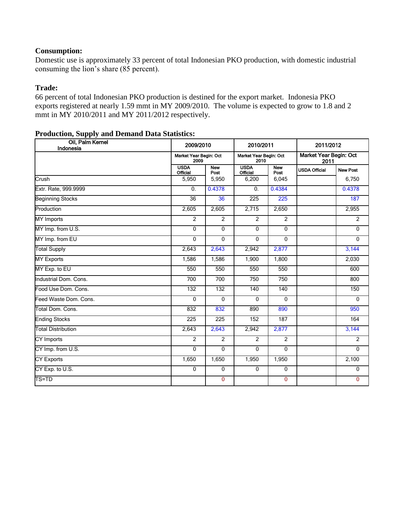# **Consumption:**

Domestic use is approximately 33 percent of total Indonesian PKO production, with domestic industrial consuming the lion's share (85 percent).

#### **Trade:**

66 percent of total Indonesian PKO production is destined for the export market. Indonesia PKO exports registered at nearly 1.59 mmt in MY 2009/2010. The volume is expected to grow to 1.8 and 2 mmt in MY 2010/2011 and MY 2011/2012 respectively.

| Oil, Palm Kernel<br>Indonesia  | 2009/2010                      |                    | 2010/2011                      |                    | 2011/2012                      |                 |  |
|--------------------------------|--------------------------------|--------------------|--------------------------------|--------------------|--------------------------------|-----------------|--|
|                                | Market Year Begin: Oct<br>2009 |                    | Market Year Begin: Oct<br>2010 |                    | Market Year Begin: Oct<br>2011 |                 |  |
|                                | <b>USDA</b><br><b>Official</b> | <b>New</b><br>Post | <b>USDA</b><br><b>Official</b> | <b>New</b><br>Post | <b>USDA Official</b>           | <b>New Post</b> |  |
| Crush                          | 5,950                          | 5,950              | 6,200                          | 6,045              |                                | 6,750           |  |
| Extr. Rate, 999.9999           | 0.                             | 0.4378             | 0.                             | 0.4384             |                                | 0.4378          |  |
| <b>Beginning Stocks</b>        | $\overline{36}$                | 36                 | 225                            | 225                |                                | 187             |  |
| Production                     | 2,605                          | 2,605              | 2,715                          | 2,650              |                                | 2,955           |  |
| <b>MY</b> Imports              | $\overline{2}$                 | $\overline{2}$     | $\overline{2}$                 | $\overline{2}$     |                                | $\overline{2}$  |  |
| MY Imp. from U.S.              | $\overline{0}$                 | $\overline{0}$     | $\overline{0}$                 | $\overline{0}$     |                                | $\overline{0}$  |  |
| MY Imp. from EU                | $\mathbf{0}$                   | $\Omega$           | $\mathbf{0}$                   | $\mathbf{0}$       |                                | $\mathbf{0}$    |  |
| <b>Total Supply</b>            | 2,643                          | 2,643              | 2,942                          | 2,877              |                                | 3,144           |  |
| <b>MY Exports</b>              | 1,586                          | 1,586              | 1,900                          | 1,800              |                                | 2,030           |  |
| MY Exp. to EU                  | 550                            | 550                | 550                            | 550                |                                | 600             |  |
| Industrial Dom. Cons.          | 700                            | 700                | 750                            | 750                |                                | 800             |  |
| Food Use Dom. Cons.            | 132                            | 132                | 140                            | 140                |                                | 150             |  |
| Feed Waste Dom. Cons.          | 0                              | 0                  | $\mathbf 0$                    | 0                  |                                | $\mathbf{0}$    |  |
| Total Dom. Cons.               | 832                            | 832                | 890                            | 890                |                                | 950             |  |
| <b>Ending Stocks</b>           | 225                            | 225                | 152                            | 187                |                                | 164             |  |
| <b>Total Distribution</b>      | 2,643                          | 2,643              | 2,942                          | 2,877              |                                | 3,144           |  |
| <b>CY Imports</b>              | $\overline{2}$                 | $\overline{2}$     | $\overline{2}$                 | $\overline{2}$     |                                | $\overline{2}$  |  |
| CY Imp. from U.S.              | 0                              | 0                  | 0                              | 0                  |                                | $\mathbf{0}$    |  |
| <b>CY Exports</b>              | 1,650                          | 1,650              | 1,950                          | 1,950              |                                | 2,100           |  |
| $CY$ Exp. to $\overline{US}$ . | $\mathbf 0$                    | $\mathbf 0$        | 0                              | 0                  |                                | 0               |  |
| TS=TD                          |                                | $\mathbf{0}$       |                                | 0                  |                                | $\mathbf{0}$    |  |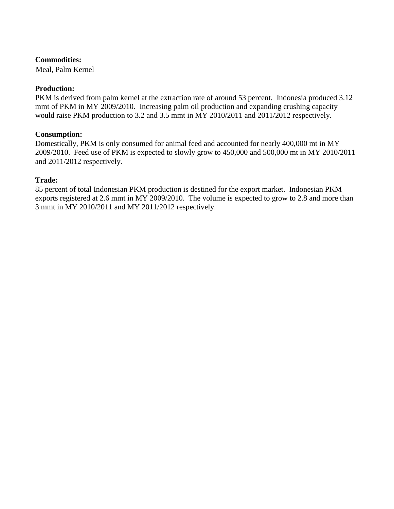Meal, Palm Kernel

## **Production:**

PKM is derived from palm kernel at the extraction rate of around 53 percent. Indonesia produced 3.12 mmt of PKM in MY 2009/2010. Increasing palm oil production and expanding crushing capacity would raise PKM production to 3.2 and 3.5 mmt in MY 2010/2011 and 2011/2012 respectively.

#### **Consumption:**

Domestically, PKM is only consumed for animal feed and accounted for nearly 400,000 mt in MY 2009/2010. Feed use of PKM is expected to slowly grow to 450,000 and 500,000 mt in MY 2010/2011 and 2011/2012 respectively.

#### **Trade:**

85 percent of total Indonesian PKM production is destined for the export market. Indonesian PKM exports registered at 2.6 mmt in MY 2009/2010. The volume is expected to grow to 2.8 and more than 3 mmt in MY 2010/2011 and MY 2011/2012 respectively.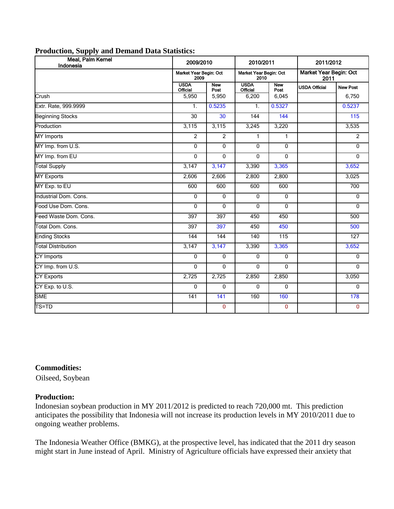| Meal, Palm Kernel<br>Indonesia | 2009/2010                                                                                          |                    | 2010/2011                      |                    | 2011/2012            |                 |
|--------------------------------|----------------------------------------------------------------------------------------------------|--------------------|--------------------------------|--------------------|----------------------|-----------------|
|                                | Market Year Begin: Oct<br>Market Year Begin: Oct<br>Market Year Begin: Oct<br>2009<br>2010<br>2011 |                    |                                |                    |                      |                 |
|                                | <b>USDA</b><br>Official                                                                            | <b>New</b><br>Post | <b>USDA</b><br><b>Official</b> | <b>New</b><br>Post | <b>USDA Official</b> | <b>New Post</b> |
| Crush                          | 5,950                                                                                              | 5,950              | 6,200                          | 6,045              |                      | 6,750           |
| Extr. Rate, 999.9999           | 1 <sub>1</sub>                                                                                     | 0.5235             | $\mathbf{1}$ .                 | 0.5327             |                      | 0.5237          |
| <b>Beginning Stocks</b>        | 30                                                                                                 | 30                 | 144                            | 144                |                      | 115             |
| Production                     | 3,115                                                                                              | 3,115              | 3,245                          | 3,220              |                      | 3,535           |
| <b>MY</b> Imports              | $\overline{2}$                                                                                     | $\overline{2}$     | $\mathbf{1}$                   | 1                  |                      | $\overline{2}$  |
| MY Imp. from U.S.              | 0                                                                                                  | $\mathbf{0}$       | $\mathbf{0}$                   | $\mathbf{0}$       |                      | $\mathbf{0}$    |
| MY Imp. from EU                | 0                                                                                                  | $\mathbf{0}$       | $\mathbf{0}$                   | $\mathbf{0}$       |                      | $\mathbf{0}$    |
| <b>Total Supply</b>            | 3,147                                                                                              | 3,147              | 3,390                          | 3,365              |                      | 3,652           |
| <b>MY Exports</b>              | 2,606                                                                                              | 2,606              | 2,800                          | 2,800              |                      | 3,025           |
| MY Exp. to EU                  | 600                                                                                                | 600                | 600                            | 600                |                      | 700             |
| Industrial Dom. Cons.          | $\Omega$                                                                                           | $\Omega$           | $\mathbf{0}$                   | $\mathbf{0}$       |                      | $\Omega$        |
| Food Use Dom. Cons.            | $\overline{0}$                                                                                     | $\overline{0}$     | $\overline{0}$                 | $\mathbf{0}$       |                      | $\overline{0}$  |
| Feed Waste Dom. Cons.          | 397                                                                                                | 397                | 450                            | 450                |                      | 500             |
| Total Dom. Cons.               | 397                                                                                                | 397                | 450                            | 450                |                      | 500             |
| <b>Ending Stocks</b>           | 144                                                                                                | 144                | 140                            | 115                |                      | 127             |
| <b>Total Distribution</b>      | 3,147                                                                                              | 3,147              | 3,390                          | 3,365              |                      | 3,652           |
| <b>CY Imports</b>              | 0                                                                                                  | $\mathbf 0$        | $\mathbf 0$                    | $\mathbf 0$        |                      | $\mathbf 0$     |
| CY Imp. from U.S.              | 0                                                                                                  | $\mathbf 0$        | 0                              | $\mathbf 0$        |                      | $\mathbf 0$     |
| <b>CY Exports</b>              | 2,725                                                                                              | 2,725              | 2,850                          | 2,850              |                      | 3,050           |
| CY Exp. to U.S.                | 0                                                                                                  | 0                  | $\mathbf{0}$                   | $\mathbf{0}$       |                      | 0               |
| <b>SME</b>                     | $\overline{141}$                                                                                   | 141                | 160                            | 160                |                      | 178             |
| TS=TD                          |                                                                                                    | $\mathbf 0$        |                                | $\mathbf{0}$       |                      | $\mathbf 0$     |

#### **Commodities:**

Oilseed, Soybean

# **Production:**

Indonesian soybean production in MY 2011/2012 is predicted to reach 720,000 mt. This prediction anticipates the possibility that Indonesia will not increase its production levels in MY 2010/2011 due to ongoing weather problems.

The Indonesia Weather Office (BMKG), at the prospective level, has indicated that the 2011 dry season might start in June instead of April. Ministry of Agriculture officials have expressed their anxiety that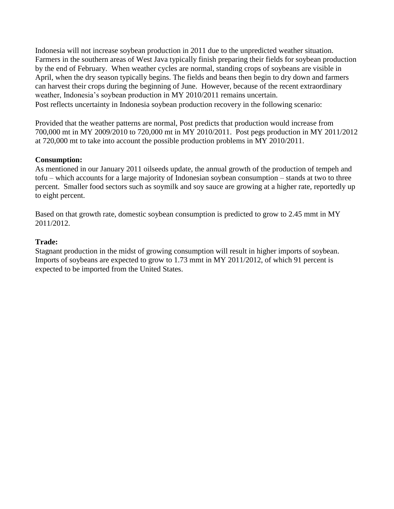Indonesia will not increase soybean production in 2011 due to the unpredicted weather situation. Farmers in the southern areas of West Java typically finish preparing their fields for soybean production by the end of February. When weather cycles are normal, standing crops of soybeans are visible in April, when the dry season typically begins. The fields and beans then begin to dry down and farmers can harvest their crops during the beginning of June. However, because of the recent extraordinary weather, Indonesia's soybean production in MY 2010/2011 remains uncertain. Post reflects uncertainty in Indonesia soybean production recovery in the following scenario:

Provided that the weather patterns are normal, Post predicts that production would increase from 700,000 mt in MY 2009/2010 to 720,000 mt in MY 2010/2011. Post pegs production in MY 2011/2012 at 720,000 mt to take into account the possible production problems in MY 2010/2011.

#### **Consumption:**

As mentioned in our January 2011 oilseeds update, the annual growth of the production of tempeh and tofu – which accounts for a large majority of Indonesian soybean consumption – stands at two to three percent. Smaller food sectors such as soymilk and soy sauce are growing at a higher rate, reportedly up to eight percent.

Based on that growth rate, domestic soybean consumption is predicted to grow to 2.45 mmt in MY 2011/2012.

#### **Trade:**

Stagnant production in the midst of growing consumption will result in higher imports of soybean. Imports of soybeans are expected to grow to 1.73 mmt in MY 2011/2012, of which 91 percent is expected to be imported from the United States.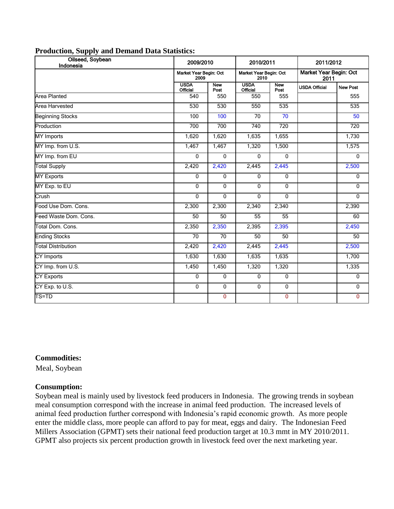| Oilseed, Soybean<br>Indonesia | 2009/2010                      |                    | 2010/2011                      |                    | 2011/2012                      |                 |
|-------------------------------|--------------------------------|--------------------|--------------------------------|--------------------|--------------------------------|-----------------|
|                               | Market Year Begin: Oct<br>2009 |                    | Market Year Begin: Oct<br>2010 |                    | Market Year Begin: Oct<br>2011 |                 |
|                               | <b>USDA</b><br><b>Official</b> | <b>New</b><br>Post | <b>USDA</b><br><b>Official</b> | <b>New</b><br>Post | <b>USDA Official</b>           | <b>New Post</b> |
| Area Planted                  | 540                            | 550                | 550                            | 555                |                                | 555             |
| Area Harvested                | 530                            | 530                | 550                            | 535                |                                | 535             |
| <b>Beginning Stocks</b>       | 100                            | 100                | $\overline{70}$                | 70                 |                                | 50              |
| Production                    | 700                            | 700                | 740                            | 720                |                                | 720             |
| <b>MY</b> Imports             | 1,620                          | 1,620              | 1,635                          | 1,655              |                                | 1,730           |
| MY Imp. from U.S.             | 1,467                          | 1,467              | 1,320                          | 1,500              |                                | 1,575           |
| MY Imp. from EU               | $\mathbf{0}$                   | $\mathbf{0}$       | $\Omega$                       | $\mathbf{0}$       |                                | $\mathbf{0}$    |
| <b>Total Supply</b>           | 2,420                          | 2,420              | 2,445                          | 2,445              |                                | 2,500           |
| <b>MY Exports</b>             | $\mathbf 0$                    | $\mathbf{0}$       | $\mathbf 0$                    | $\mathbf{0}$       |                                | 0               |
| MY Exp. to EU                 | $\overline{0}$                 | $\overline{0}$     | $\Omega$                       | $\mathbf{0}$       |                                | $\mathbf{0}$    |
| Crush                         | $\mathbf 0$                    | $\mathbf 0$        | 0                              | $\mathbf{0}$       |                                | 0               |
| Food Use Dom. Cons.           | 2,300                          | 2,300              | 2,340                          | 2,340              |                                | 2,390           |
| Feed Waste Dom. Cons.         | 50                             | 50                 | 55                             | 55                 |                                | 60              |
| Total Dom. Cons.              | 2,350                          | 2,350              | 2,395                          | 2,395              |                                | 2,450           |
| <b>Ending Stocks</b>          | 70                             | 70                 | 50                             | 50                 |                                | 50              |
| <b>Total Distribution</b>     | 2,420                          | 2,420              | 2,445                          | 2,445              |                                | 2,500           |
| CY Imports                    | 1,630                          | 1,630              | 1,635                          | 1,635              |                                | 1,700           |
| CY Imp. from U.S.             | 1,450                          | 1,450              | 1,320                          | 1,320              |                                | 1,335           |
| <b>CY Exports</b>             | $\mathbf{0}$                   | $\mathbf{0}$       | $\mathbf{0}$                   | $\mathbf{0}$       |                                | $\mathbf{0}$    |
| CY Exp. to U.S.               | $\mathbf{0}$                   | $\mathbf{0}$       | $\mathbf 0$                    | $\mathbf{0}$       |                                | 0               |
| TS=TD                         |                                | $\mathbf{0}$       |                                | $\mathbf{0}$       |                                | $\Omega$        |

#### **Commodities:**

Meal, Soybean

#### **Consumption:**

Soybean meal is mainly used by livestock feed producers in Indonesia. The growing trends in soybean meal consumption correspond with the increase in animal feed production. The increased levels of animal feed production further correspond with Indonesia's rapid economic growth. As more people enter the middle class, more people can afford to pay for meat, eggs and dairy. The Indonesian Feed Millers Association (GPMT) sets their national feed production target at 10.3 mmt in MY 2010/2011. GPMT also projects six percent production growth in livestock feed over the next marketing year.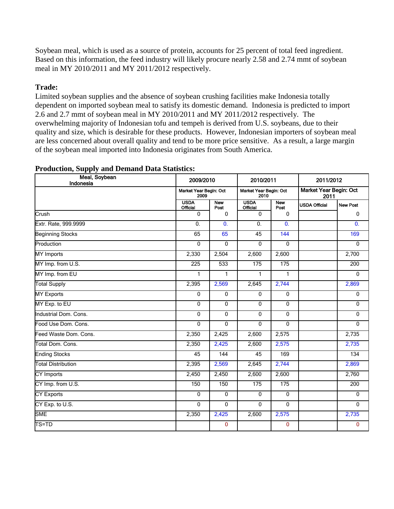Soybean meal, which is used as a source of protein, accounts for 25 percent of total feed ingredient. Based on this information, the feed industry will likely procure nearly 2.58 and 2.74 mmt of soybean meal in MY 2010/2011 and MY 2011/2012 respectively.

## **Trade:**

Limited soybean supplies and the absence of soybean crushing facilities make Indonesia totally dependent on imported soybean meal to satisfy its domestic demand. Indonesia is predicted to import 2.6 and 2.7 mmt of soybean meal in MY 2010/2011 and MY 2011/2012 respectively. The overwhelming majority of Indonesian tofu and tempeh is derived from U.S. soybeans, due to their quality and size, which is desirable for these products. However, Indonesian importers of soybean meal are less concerned about overall quality and tend to be more price sensitive. As a result, a large margin of the soybean meal imported into Indonesia originates from South America.

| Meal, Soybean<br>Indonesia | 2009/2010                                                                                          |                    | 2010/2011                      |                    | 2011/2012            |                           |
|----------------------------|----------------------------------------------------------------------------------------------------|--------------------|--------------------------------|--------------------|----------------------|---------------------------|
|                            | Market Year Begin: Oct<br>Market Year Begin: Oct<br>Market Year Begin: Oct<br>2009<br>2010<br>2011 |                    |                                |                    |                      |                           |
|                            | <b>USDA</b><br><b>Official</b>                                                                     | <b>New</b><br>Post | <b>USDA</b><br><b>Official</b> | <b>New</b><br>Post | <b>USDA Official</b> | <b>New Post</b>           |
| Crush                      | $\Omega$                                                                                           | $\Omega$           | $\mathbf{0}$                   | $\Omega$           |                      | $\mathbf{0}$              |
| Extr. Rate, 999.9999       | $\overline{0}$ .                                                                                   | $\overline{0}$ .   | $\overline{0}$ .               | $\overline{0}$ .   |                      | $\overline{\mathbf{0}}$ . |
| <b>Beginning Stocks</b>    | 65                                                                                                 | 65                 | 45                             | 144                |                      | 169                       |
| Production                 | $\overline{0}$                                                                                     | 0                  | $\mathbf{0}$                   | $\overline{0}$     |                      | $\overline{0}$            |
| <b>MY</b> Imports          | 2,330                                                                                              | 2,504              | 2,600                          | 2,600              |                      | 2,700                     |
| MY Imp. from U.S.          | 225                                                                                                | 533                | 175                            | 175                |                      | 200                       |
| MY Imp. from EU            | $\mathbf{1}$                                                                                       | $\mathbf{1}$       | $\mathbf{1}$                   | $\mathbf{1}$       |                      | $\Omega$                  |
| <b>Total Supply</b>        | 2,395                                                                                              | 2,569              | 2,645                          | 2,744              |                      | 2,869                     |
| <b>MY Exports</b>          | $\Omega$                                                                                           | $\Omega$           | $\mathbf{0}$                   | $\mathbf{0}$       |                      | $\mathbf{0}$              |
| MY Exp. to EU              | $\Omega$                                                                                           | $\mathbf{0}$       | $\mathbf{0}$                   | $\mathbf{0}$       |                      | $\mathbf 0$               |
| Industrial Dom. Cons.      | $\mathbf{0}$                                                                                       | $\overline{0}$     | $\mathbf{0}$                   | $\mathbf{0}$       |                      | $\overline{0}$            |
| Food Use Dom. Cons.        | $\mathbf{0}$                                                                                       | $\mathbf{0}$       | $\mathbf{0}$                   | $\mathbf{0}$       |                      | $\mathbf{0}$              |
| Feed Waste Dom. Cons.      | 2,350                                                                                              | 2,425              | 2,600                          | 2,575              |                      | 2,735                     |
| Total Dom. Cons.           | 2,350                                                                                              | 2,425              | 2,600                          | 2,575              |                      | 2,735                     |
| <b>Ending Stocks</b>       | 45                                                                                                 | 144                | 45                             | 169                |                      | 134                       |
| <b>Total Distribution</b>  | 2,395                                                                                              | 2,569              | 2,645                          | 2,744              |                      | 2,869                     |
| <b>CY Imports</b>          | 2,450                                                                                              | 2,450              | 2,600                          | 2,600              |                      | 2,760                     |
| CY Imp. from U.S.          | 150                                                                                                | 150                | 175                            | 175                |                      | 200                       |
| <b>CY Exports</b>          | $\Omega$                                                                                           | $\mathbf 0$        | 0                              | $\mathbf 0$        |                      | $\mathbf 0$               |
| CY Exp. to U.S.            | $\overline{0}$                                                                                     | $\overline{0}$     | $\mathbf{0}$                   | $\overline{0}$     |                      | $\overline{0}$            |
| <b>SME</b>                 | 2,350                                                                                              | 2,425              | 2,600                          | 2,575              |                      | 2,735                     |
| TS=TD                      |                                                                                                    | $\mathbf 0$        |                                | $\mathbf 0$        |                      | $\mathbf{0}$              |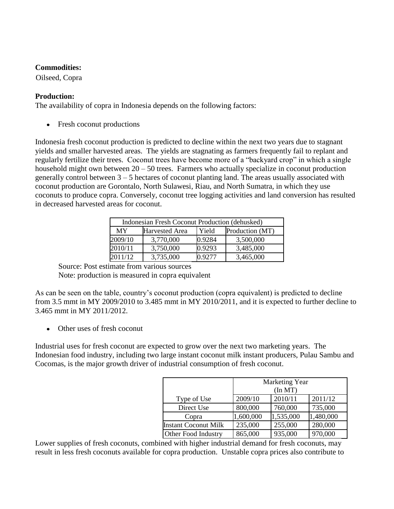Oilseed, Copra

# **Production:**

The availability of copra in Indonesia depends on the following factors:

• Fresh coconut productions

Indonesia fresh coconut production is predicted to decline within the next two years due to stagnant yields and smaller harvested areas. The yields are stagnating as farmers frequently fail to replant and regularly fertilize their trees. Coconut trees have become more of a "backyard crop" in which a single household might own between  $20 - 50$  trees. Farmers who actually specialize in coconut production generally control between  $3 - 5$  hectares of coconut planting land. The areas usually associated with coconut production are Gorontalo, North Sulawesi, Riau, and North Sumatra, in which they use coconuts to produce copra. Conversely, coconut tree logging activities and land conversion has resulted in decreased harvested areas for coconut.

| Indonesian Fresh Coconut Production (dehusked) |                |        |                 |  |  |  |  |  |
|------------------------------------------------|----------------|--------|-----------------|--|--|--|--|--|
| MY                                             | Harvested Area | Yield  | Production (MT) |  |  |  |  |  |
| 2009/10                                        | 3,770,000      | 0.9284 | 3,500,000       |  |  |  |  |  |
| 2010/11                                        | 3,750,000      | 0.9293 | 3,485,000       |  |  |  |  |  |
| 2011/12                                        | 3,735,000      | 0.9277 | 3,465,000       |  |  |  |  |  |

Source: Post estimate from various sources Note: production is measured in copra equivalent

As can be seen on the table, country's coconut production (copra equivalent) is predicted to decline from 3.5 mmt in MY 2009/2010 to 3.485 mmt in MY 2010/2011, and it is expected to further decline to 3.465 mmt in MY 2011/2012.

Other uses of fresh coconut

Industrial uses for fresh coconut are expected to grow over the next two marketing years. The Indonesian food industry, including two large instant coconut milk instant producers, Pulau Sambu and Cocomas, is the major growth driver of industrial consumption of fresh coconut.

|                             | <b>Marketing Year</b><br>(In MT) |           |           |  |  |  |  |  |
|-----------------------------|----------------------------------|-----------|-----------|--|--|--|--|--|
| Type of Use                 | 2009/10                          | 2010/11   | 2011/12   |  |  |  |  |  |
| Direct Use                  | 800,000                          | 760,000   | 735,000   |  |  |  |  |  |
| Copra                       | 1,600,000                        | 1,535,000 | 1,480,000 |  |  |  |  |  |
| <b>Instant Coconut Milk</b> | 235,000                          | 255,000   | 280,000   |  |  |  |  |  |
| Other Food Industry         | 865,000                          | 935,000   | 970,000   |  |  |  |  |  |

Lower supplies of fresh coconuts, combined with higher industrial demand for fresh coconuts, may result in less fresh coconuts available for copra production. Unstable copra prices also contribute to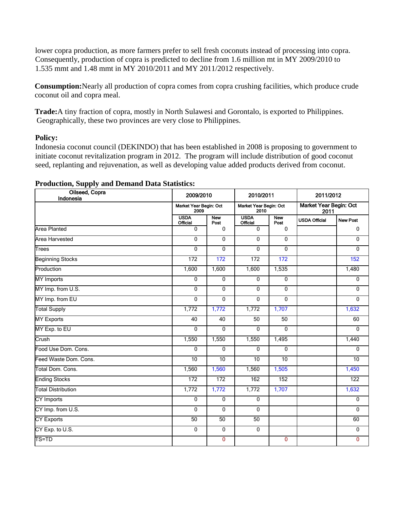lower copra production, as more farmers prefer to sell fresh coconuts instead of processing into copra. Consequently, production of copra is predicted to decline from 1.6 million mt in MY 2009/2010 to 1.535 mmt and 1.48 mmt in MY 2010/2011 and MY 2011/2012 respectively.

**Consumption:**Nearly all production of copra comes from copra crushing facilities, which produce crude coconut oil and copra meal.

**Trade:**A tiny fraction of copra, mostly in North Sulawesi and Gorontalo, is exported to Philippines. Geographically, these two provinces are very close to Philippines.

#### **Policy:**

Indonesia coconut council (DEKINDO) that has been established in 2008 is proposing to government to initiate coconut revitalization program in 2012. The program will include distribution of good coconut seed, replanting and rejuvenation, as well as developing value added products derived from coconut.

| Oilseed, Copra<br>Indonesia | 2009/2010                      |                    | 2010/2011                      |                    | 2011/2012                      |                 |  |
|-----------------------------|--------------------------------|--------------------|--------------------------------|--------------------|--------------------------------|-----------------|--|
|                             | Market Year Begin: Oct<br>2009 |                    | Market Year Begin: Oct<br>2010 |                    | Market Year Begin: Oct<br>2011 |                 |  |
|                             | <b>USDA</b><br><b>Official</b> | <b>New</b><br>Post | <b>USDA</b><br><b>Official</b> | <b>New</b><br>Post | <b>USDA Official</b>           | <b>New Post</b> |  |
| <b>Area Planted</b>         | 0                              | 0                  | $\mathbf 0$                    | 0                  |                                | $\mathbf 0$     |  |
| Area Harvested              | 0                              | 0                  | 0                              | $\overline{0}$     |                                | $\mathbf 0$     |  |
| <b>Trees</b>                | 0                              | 0                  | 0                              | 0                  |                                | $\overline{0}$  |  |
| <b>Beginning Stocks</b>     | 172                            | 172                | 172                            | 172                |                                | 152             |  |
| Production                  | 1,600                          | 1,600              | 1,600                          | 1,535              |                                | 1,480           |  |
| <b>MY</b> Imports           | 0                              | 0                  | $\overline{0}$                 | $\overline{0}$     |                                | $\mathbf 0$     |  |
| MY Imp. from U.S.           | 0                              | 0                  | $\mathbf 0$                    | $\mathbf 0$        |                                | $\mathbf{0}$    |  |
| MY Imp. from EU             | $\overline{0}$                 | $\overline{0}$     | $\overline{0}$                 | $\overline{0}$     |                                | $\overline{0}$  |  |
| <b>Total Supply</b>         | 1,772                          | 1,772              | 1,772                          | 1,707              |                                | 1,632           |  |
| <b>MY Exports</b>           | 40                             | 40                 | 50                             | 50                 |                                | 60              |  |
| MY Exp. to EU               | 0                              | $\mathbf 0$        | 0                              | $\mathbf 0$        |                                | $\mathbf 0$     |  |
| Crush                       | 1,550                          | 1,550              | 1,550                          | 1,495              |                                | 1,440           |  |
| Food Use Dom. Cons.         | 0                              | 0                  | 0                              | 0                  |                                | $\mathbf 0$     |  |
| Feed Waste Dom. Cons.       | 10                             | 10                 | $\overline{10}$                | 10                 |                                | 10              |  |
| Total Dom. Cons.            | 1,560                          | 1,560              | 1,560                          | 1,505              |                                | 1,450           |  |
| <b>Ending Stocks</b>        | 172                            | 172                | 162                            | 152                |                                | 122             |  |
| <b>Total Distribution</b>   | 1,772                          | 1,772              | 1,772                          | 1,707              |                                | 1,632           |  |
| <b>CY Imports</b>           | 0                              | 0                  | $\mathbf 0$                    |                    |                                | $\mathbf{0}$    |  |
| CY Imp. from U.S.           | 0                              | $\mathbf{0}$       | $\mathbf 0$                    |                    |                                | $\Omega$        |  |
| <b>CY Exports</b>           | 50                             | 50                 | 50                             |                    |                                | 60              |  |
| CY Exp. to U.S.             | 0                              | $\overline{0}$     | $\overline{0}$                 |                    |                                | $\overline{0}$  |  |
| TS=TD                       |                                | 0                  |                                | 0                  |                                | $\mathbf{0}$    |  |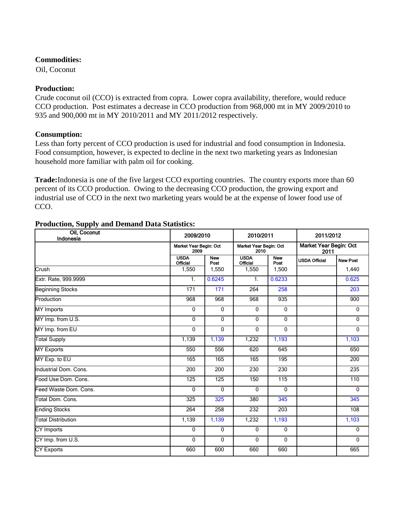Oil, Coconut

## **Production:**

Crude coconut oil (CCO) is extracted from copra. Lower copra availability, therefore, would reduce CCO production. Post estimates a decrease in CCO production from 968,000 mt in MY 2009/2010 to 935 and 900,000 mt in MY 2010/2011 and MY 2011/2012 respectively.

#### **Consumption:**

Less than forty percent of CCO production is used for industrial and food consumption in Indonesia. Food consumption, however, is expected to decline in the next two marketing years as Indonesian household more familiar with palm oil for cooking.

**Trade:**Indonesia is one of the five largest CCO exporting countries. The country exports more than 60 percent of its CCO production. Owing to the decreasing CCO production, the growing export and industrial use of CCO in the next two marketing years would be at the expense of lower food use of CCO.

| Oil, Coconut<br>Indonesia | 2009/2010                                                        |                    | 2010/2011                      |                                | 2011/2012            |                 |
|---------------------------|------------------------------------------------------------------|--------------------|--------------------------------|--------------------------------|----------------------|-----------------|
|                           | Market Year Begin: Oct<br>Market Year Begin: Oct<br>2009<br>2010 |                    |                                | Market Year Begin: Oct<br>2011 |                      |                 |
|                           | <b>USDA</b><br><b>Official</b>                                   | <b>New</b><br>Post | <b>USDA</b><br><b>Official</b> | <b>New</b><br>Post             | <b>USDA Official</b> | <b>New Post</b> |
| Crush                     | 1,550                                                            | 1,550              | 1,550                          | 1,500                          |                      | 1,440           |
| Extr. Rate, 999.9999      | 1.                                                               | 0.6245             | 1.                             | 0.6233                         |                      | 0.625           |
| <b>Beginning Stocks</b>   | 171                                                              | 171                | 264                            | 258                            |                      | 203             |
| Production                | 968                                                              | 968                | 968                            | 935                            |                      | 900             |
| <b>MY</b> Imports         | $\mathbf 0$                                                      | 0                  | $\mathbf{0}$                   | $\mathbf 0$                    |                      | $\mathbf 0$     |
| MY Imp. from U.S.         | $\mathbf{0}$                                                     | 0                  | $\Omega$                       | $\Omega$                       |                      | $\Omega$        |
| MY Imp. from EU           | $\mathbf{0}$                                                     | 0                  | $\Omega$                       | $\Omega$                       |                      | $\mathbf{0}$    |
| <b>Total Supply</b>       | 1,139                                                            | 1,139              | 1,232                          | 1,193                          |                      | 1,103           |
| <b>MY Exports</b>         | 550                                                              | 556                | 620                            | 645                            |                      | 650             |
| MY Exp. to EU             | 165                                                              | 165                | 165                            | 195                            |                      | 200             |
| Industrial Dom. Cons.     | 200                                                              | 200                | 230                            | 230                            |                      | 235             |
| Food Use Dom. Cons.       | 125                                                              | 125                | 150                            | 115                            |                      | 110             |
| Feed Waste Dom, Cons.     | $\mathbf 0$                                                      | 0                  | $\Omega$                       | $\Omega$                       |                      | $\mathbf{0}$    |
| Total Dom. Cons.          | 325                                                              | 325                | 380                            | 345                            |                      | 345             |
| <b>Ending Stocks</b>      | 264                                                              | 258                | 232                            | 203                            |                      | 108             |
| <b>Total Distribution</b> | 1,139                                                            | 1,139              | 1,232                          | 1,193                          |                      | 1,103           |
| CY Imports                | $\mathbf{0}$                                                     | 0                  | $\mathbf{0}$                   | $\mathbf 0$                    |                      | $\mathbf{0}$    |
| CY Imp. from U.S.         | $\mathbf{0}$                                                     | 0                  | $\Omega$                       | $\mathbf 0$                    |                      | $\mathbf{0}$    |
| <b>CY Exports</b>         | 660                                                              | 600                | 660                            | 660                            |                      | 665             |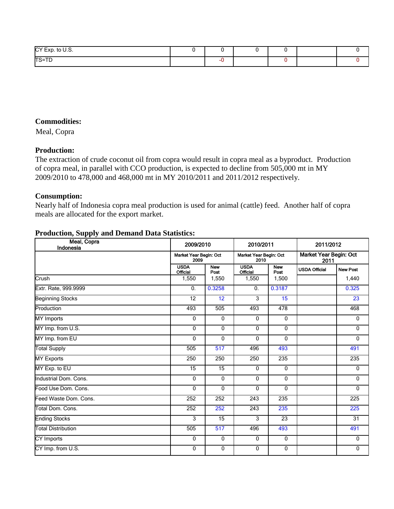| CY Exp. to U.S. |  |  |  |
|-----------------|--|--|--|
| <b>TS=TD</b>    |  |  |  |

Meal, Copra

#### **Production:**

The extraction of crude coconut oil from copra would result in copra meal as a byproduct. Production of copra meal, in parallel with CCO production, is expected to decline from 505,000 mt in MY 2009/2010 to 478,000 and 468,000 mt in MY 2010/2011 and 2011/2012 respectively.

#### **Consumption:**

Nearly half of Indonesia copra meal production is used for animal (cattle) feed. Another half of copra meals are allocated for the export market.

| Meal, Copra<br>Indonesia  | 2009/2010<br>Market Year Begin: Oct<br>2009 |                    | 2010/2011<br>Market Year Begin: Oct<br>2010 |                    | 2011/2012<br>Market Year Begin: Oct<br>2011 |                 |
|---------------------------|---------------------------------------------|--------------------|---------------------------------------------|--------------------|---------------------------------------------|-----------------|
|                           |                                             |                    |                                             |                    |                                             |                 |
|                           | <b>USDA</b><br><b>Official</b>              | <b>New</b><br>Post | <b>USDA</b><br><b>Official</b>              | <b>New</b><br>Post | <b>USDA Official</b>                        | <b>New Post</b> |
| Crush                     | 1,550                                       | 1,550              | 1,550                                       | 1,500              |                                             | 1,440           |
| Extr. Rate, 999.9999      | $\mathbf{0}$ .                              | 0.3258             | 0.                                          | 0.3187             |                                             | 0.325           |
| <b>Beginning Stocks</b>   | 12                                          | 12                 | 3                                           | 15                 |                                             | 23              |
| Production                | 493                                         | 505                | 493                                         | 478                |                                             | 468             |
| <b>MY Imports</b>         | $\mathbf 0$                                 | $\overline{0}$     | $\mathbf 0$                                 | 0                  |                                             | 0               |
| MY Imp. from U.S.         | 0                                           | $\mathbf{0}$       | 0                                           | $\Omega$           |                                             | $\Omega$        |
| MY Imp. from EU           | $\mathbf{0}$                                | $\mathbf 0$        | 0                                           | 0                  |                                             | 0               |
| <b>Total Supply</b>       | 505                                         | 517                | 496                                         | 493                |                                             | 491             |
| <b>MY Exports</b>         | 250                                         | 250                | 250                                         | 235                |                                             | 235             |
| MY Exp. to EU             | $\overline{15}$                             | $\overline{15}$    | $\Omega$                                    | $\mathbf{0}$       |                                             | $\Omega$        |
| Industrial Dom. Cons.     | $\mathbf{0}$                                | $\mathbf 0$        | $\mathbf{0}$                                | $\mathbf 0$        |                                             | $\mathbf{0}$    |
| Food Use Dom. Cons.       | $\Omega$                                    | $\mathbf{0}$       | 0                                           | $\mathbf 0$        |                                             | $\mathbf 0$     |
| Feed Waste Dom. Cons.     | 252                                         | 252                | 243                                         | 235                |                                             | 225             |
| Total Dom. Cons.          | 252                                         | 252                | 243                                         | 235                |                                             | 225             |
| <b>Ending Stocks</b>      | 3                                           | 15                 | 3                                           | 23                 |                                             | 31              |
| <b>Total Distribution</b> | 505                                         | 517                | 496                                         | 493                |                                             | 491             |
| CY Imports                | $\mathbf 0$                                 | $\mathbf 0$        | $\mathbf 0$                                 | $\mathbf 0$        |                                             | $\mathbf{0}$    |
| CY Imp. from U.S.         | 0                                           | $\mathbf 0$        | 0                                           | 0                  |                                             | 0               |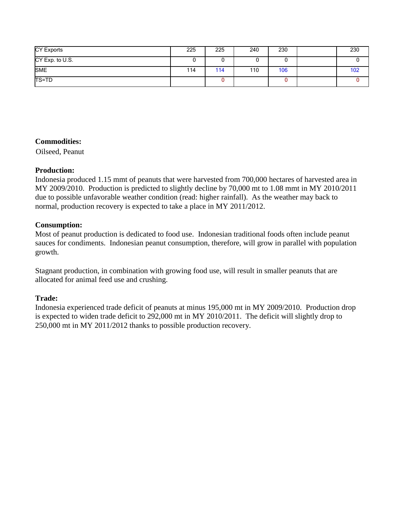| <b>CY Exports</b> | 225 | 225 | 240 | 230 | 230 |
|-------------------|-----|-----|-----|-----|-----|
| CY Exp. to U.S.   | u   | U   | v   |     |     |
| <b>SME</b>        | 114 | 114 | 110 | 106 | 102 |
| <b>TS=TD</b>      |     | 0   |     |     |     |

Oilseed, Peanut

#### **Production:**

Indonesia produced 1.15 mmt of peanuts that were harvested from 700,000 hectares of harvested area in MY 2009/2010. Production is predicted to slightly decline by 70,000 mt to 1.08 mmt in MY 2010/2011 due to possible unfavorable weather condition (read: higher rainfall). As the weather may back to normal, production recovery is expected to take a place in MY 2011/2012.

#### **Consumption:**

Most of peanut production is dedicated to food use. Indonesian traditional foods often include peanut sauces for condiments. Indonesian peanut consumption, therefore, will grow in parallel with population growth.

Stagnant production, in combination with growing food use, will result in smaller peanuts that are allocated for animal feed use and crushing.

# **Trade:**

Indonesia experienced trade deficit of peanuts at minus 195,000 mt in MY 2009/2010. Production drop is expected to widen trade deficit to 292,000 mt in MY 2010/2011. The deficit will slightly drop to 250,000 mt in MY 2011/2012 thanks to possible production recovery.